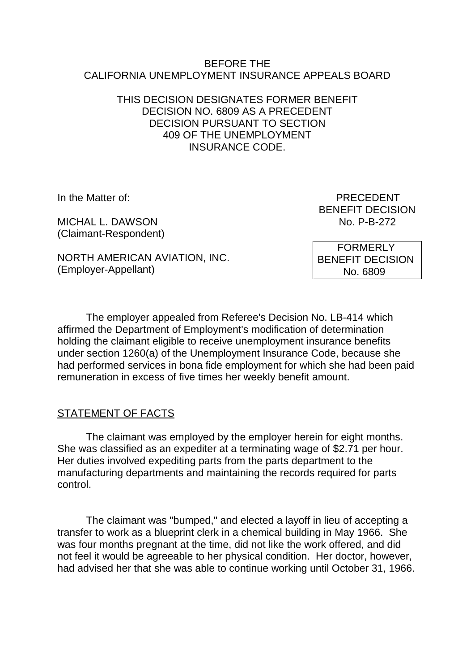#### BEFORE THE CALIFORNIA UNEMPLOYMENT INSURANCE APPEALS BOARD

#### THIS DECISION DESIGNATES FORMER BENEFIT DECISION NO. 6809 AS A PRECEDENT DECISION PURSUANT TO SECTION 409 OF THE UNEMPLOYMENT INSURANCE CODE.

MICHAL L. DAWSON NO. 2008 No. 2014 (Claimant-Respondent)

In the Matter of: **PRECEDENT** BENEFIT DECISION

NORTH AMERICAN AVIATION, INC. (Employer-Appellant)

 FORMERLY BENEFIT DECISION No. 6809

The employer appealed from Referee's Decision No. LB-414 which affirmed the Department of Employment's modification of determination holding the claimant eligible to receive unemployment insurance benefits under section 1260(a) of the Unemployment Insurance Code, because she had performed services in bona fide employment for which she had been paid remuneration in excess of five times her weekly benefit amount.

# **STATEMENT OF FACTS**

The claimant was employed by the employer herein for eight months. She was classified as an expediter at a terminating wage of \$2.71 per hour. Her duties involved expediting parts from the parts department to the manufacturing departments and maintaining the records required for parts control.

The claimant was "bumped," and elected a layoff in lieu of accepting a transfer to work as a blueprint clerk in a chemical building in May 1966. She was four months pregnant at the time, did not like the work offered, and did not feel it would be agreeable to her physical condition. Her doctor, however, had advised her that she was able to continue working until October 31, 1966.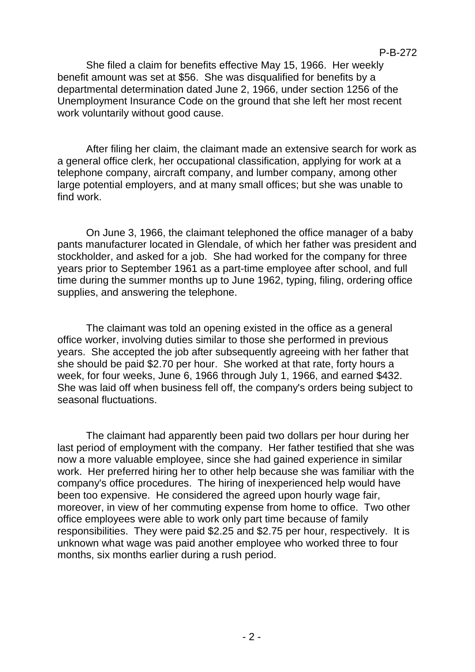She filed a claim for benefits effective May 15, 1966. Her weekly benefit amount was set at \$56. She was disqualified for benefits by a departmental determination dated June 2, 1966, under section 1256 of the Unemployment Insurance Code on the ground that she left her most recent work voluntarily without good cause.

After filing her claim, the claimant made an extensive search for work as a general office clerk, her occupational classification, applying for work at a telephone company, aircraft company, and lumber company, among other large potential employers, and at many small offices; but she was unable to find work.

On June 3, 1966, the claimant telephoned the office manager of a baby pants manufacturer located in Glendale, of which her father was president and stockholder, and asked for a job. She had worked for the company for three years prior to September 1961 as a part-time employee after school, and full time during the summer months up to June 1962, typing, filing, ordering office supplies, and answering the telephone.

The claimant was told an opening existed in the office as a general office worker, involving duties similar to those she performed in previous years. She accepted the job after subsequently agreeing with her father that she should be paid \$2.70 per hour. She worked at that rate, forty hours a week, for four weeks, June 6, 1966 through July 1, 1966, and earned \$432. She was laid off when business fell off, the company's orders being subject to seasonal fluctuations.

The claimant had apparently been paid two dollars per hour during her last period of employment with the company. Her father testified that she was now a more valuable employee, since she had gained experience in similar work. Her preferred hiring her to other help because she was familiar with the company's office procedures. The hiring of inexperienced help would have been too expensive. He considered the agreed upon hourly wage fair, moreover, in view of her commuting expense from home to office. Two other office employees were able to work only part time because of family responsibilities. They were paid \$2.25 and \$2.75 per hour, respectively. It is unknown what wage was paid another employee who worked three to four months, six months earlier during a rush period.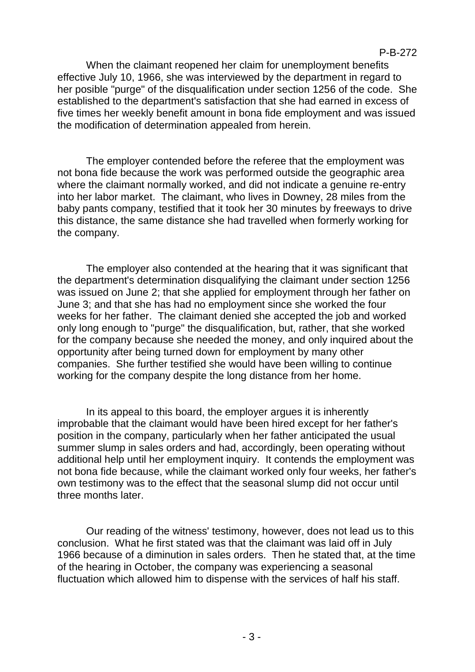When the claimant reopened her claim for unemployment benefits effective July 10, 1966, she was interviewed by the department in regard to her posible "purge" of the disqualification under section 1256 of the code. She established to the department's satisfaction that she had earned in excess of five times her weekly benefit amount in bona fide employment and was issued the modification of determination appealed from herein.

P-B-272

The employer contended before the referee that the employment was not bona fide because the work was performed outside the geographic area where the claimant normally worked, and did not indicate a genuine re-entry into her labor market. The claimant, who lives in Downey, 28 miles from the baby pants company, testified that it took her 30 minutes by freeways to drive this distance, the same distance she had travelled when formerly working for the company.

The employer also contended at the hearing that it was significant that the department's determination disqualifying the claimant under section 1256 was issued on June 2; that she applied for employment through her father on June 3; and that she has had no employment since she worked the four weeks for her father. The claimant denied she accepted the job and worked only long enough to "purge" the disqualification, but, rather, that she worked for the company because she needed the money, and only inquired about the opportunity after being turned down for employment by many other companies. She further testified she would have been willing to continue working for the company despite the long distance from her home.

In its appeal to this board, the employer argues it is inherently improbable that the claimant would have been hired except for her father's position in the company, particularly when her father anticipated the usual summer slump in sales orders and had, accordingly, been operating without additional help until her employment inquiry. It contends the employment was not bona fide because, while the claimant worked only four weeks, her father's own testimony was to the effect that the seasonal slump did not occur until three months later.

Our reading of the witness' testimony, however, does not lead us to this conclusion. What he first stated was that the claimant was laid off in July 1966 because of a diminution in sales orders. Then he stated that, at the time of the hearing in October, the company was experiencing a seasonal fluctuation which allowed him to dispense with the services of half his staff.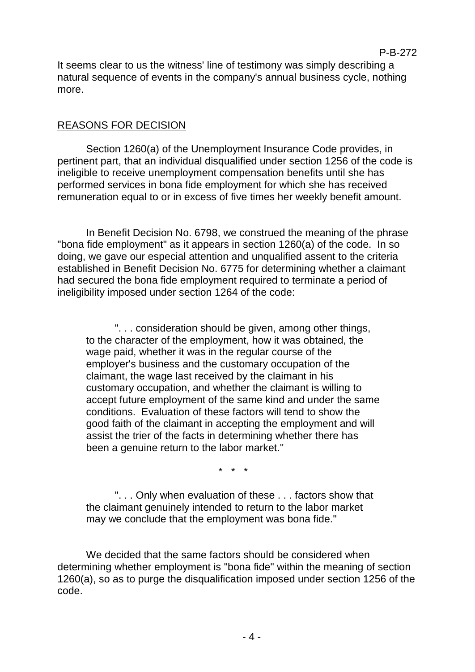It seems clear to us the witness' line of testimony was simply describing a natural sequence of events in the company's annual business cycle, nothing more.

#### REASONS FOR DECISION

Section 1260(a) of the Unemployment Insurance Code provides, in pertinent part, that an individual disqualified under section 1256 of the code is ineligible to receive unemployment compensation benefits until she has performed services in bona fide employment for which she has received remuneration equal to or in excess of five times her weekly benefit amount.

In Benefit Decision No. 6798, we construed the meaning of the phrase "bona fide employment" as it appears in section 1260(a) of the code. In so doing, we gave our especial attention and unqualified assent to the criteria established in Benefit Decision No. 6775 for determining whether a claimant had secured the bona fide employment required to terminate a period of ineligibility imposed under section 1264 of the code:

". . . consideration should be given, among other things, to the character of the employment, how it was obtained, the wage paid, whether it was in the regular course of the employer's business and the customary occupation of the claimant, the wage last received by the claimant in his customary occupation, and whether the claimant is willing to accept future employment of the same kind and under the same conditions. Evaluation of these factors will tend to show the good faith of the claimant in accepting the employment and will assist the trier of the facts in determining whether there has been a genuine return to the labor market."

 $\star$ 

". . . Only when evaluation of these . . . factors show that the claimant genuinely intended to return to the labor market may we conclude that the employment was bona fide."

We decided that the same factors should be considered when determining whether employment is "bona fide" within the meaning of section 1260(a), so as to purge the disqualification imposed under section 1256 of the code.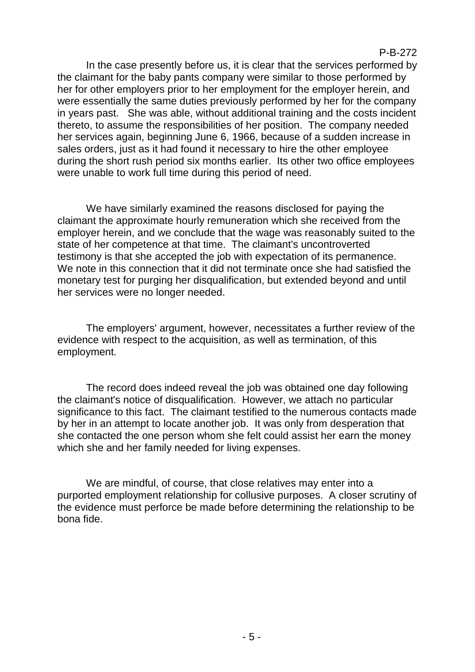In the case presently before us, it is clear that the services performed by the claimant for the baby pants company were similar to those performed by her for other employers prior to her employment for the employer herein, and were essentially the same duties previously performed by her for the company in years past. She was able, without additional training and the costs incident thereto, to assume the responsibilities of her position. The company needed her services again, beginning June 6, 1966, because of a sudden increase in sales orders, just as it had found it necessary to hire the other employee during the short rush period six months earlier. Its other two office employees were unable to work full time during this period of need.

We have similarly examined the reasons disclosed for paying the claimant the approximate hourly remuneration which she received from the employer herein, and we conclude that the wage was reasonably suited to the state of her competence at that time. The claimant's uncontroverted testimony is that she accepted the job with expectation of its permanence. We note in this connection that it did not terminate once she had satisfied the monetary test for purging her disqualification, but extended beyond and until her services were no longer needed.

The employers' argument, however, necessitates a further review of the evidence with respect to the acquisition, as well as termination, of this employment.

The record does indeed reveal the job was obtained one day following the claimant's notice of disqualification. However, we attach no particular significance to this fact. The claimant testified to the numerous contacts made by her in an attempt to locate another job. It was only from desperation that she contacted the one person whom she felt could assist her earn the money which she and her family needed for living expenses.

We are mindful, of course, that close relatives may enter into a purported employment relationship for collusive purposes. A closer scrutiny of the evidence must perforce be made before determining the relationship to be bona fide.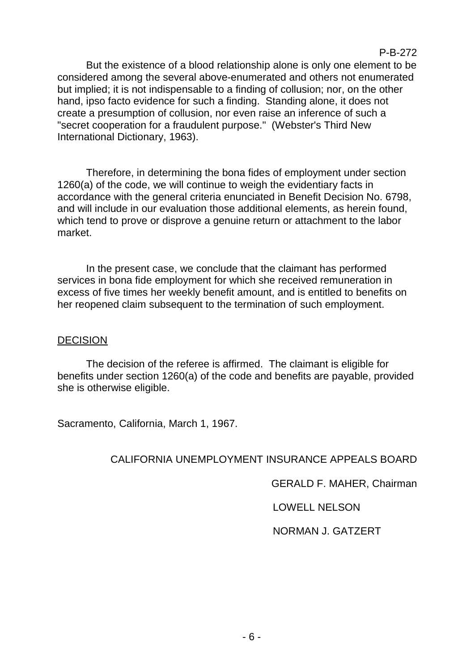But the existence of a blood relationship alone is only one element to be considered among the several above-enumerated and others not enumerated but implied; it is not indispensable to a finding of collusion; nor, on the other hand, ipso facto evidence for such a finding. Standing alone, it does not create a presumption of collusion, nor even raise an inference of such a "secret cooperation for a fraudulent purpose." (Webster's Third New

Therefore, in determining the bona fides of employment under section 1260(a) of the code, we will continue to weigh the evidentiary facts in accordance with the general criteria enunciated in Benefit Decision No. 6798, and will include in our evaluation those additional elements, as herein found, which tend to prove or disprove a genuine return or attachment to the labor market.

In the present case, we conclude that the claimant has performed services in bona fide employment for which she received remuneration in excess of five times her weekly benefit amount, and is entitled to benefits on her reopened claim subsequent to the termination of such employment.

### **DECISION**

The decision of the referee is affirmed. The claimant is eligible for benefits under section 1260(a) of the code and benefits are payable, provided she is otherwise eligible.

Sacramento, California, March 1, 1967.

International Dictionary, 1963).

# CALIFORNIA UNEMPLOYMENT INSURANCE APPEALS BOARD

GERALD F. MAHER, Chairman

P-B-272

LOWELL NELSON

NORMAN J. GATZERT